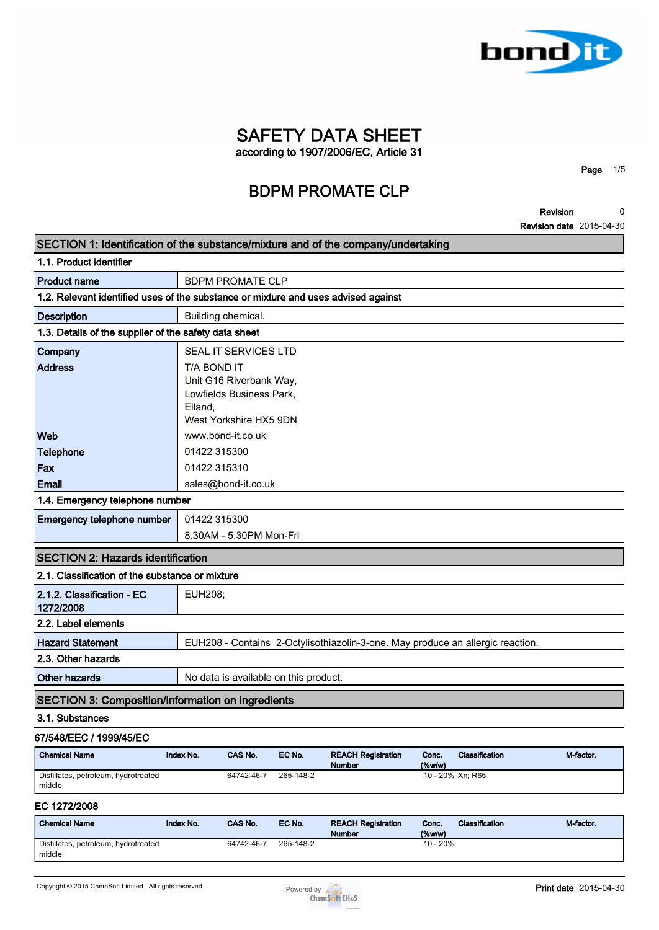

**Page 1/5**

**Revision Revision date 2015-04-30 0**

| SECTION 1: Identification of the substance/mixture and of the company/undertaking  |                        |                                                                               |           |                                                                                |                       |                  |           |
|------------------------------------------------------------------------------------|------------------------|-------------------------------------------------------------------------------|-----------|--------------------------------------------------------------------------------|-----------------------|------------------|-----------|
| 1.1. Product identifier                                                            |                        |                                                                               |           |                                                                                |                       |                  |           |
| <b>Product name</b>                                                                |                        | <b>BDPM PROMATE CLP</b>                                                       |           |                                                                                |                       |                  |           |
| 1.2. Relevant identified uses of the substance or mixture and uses advised against |                        |                                                                               |           |                                                                                |                       |                  |           |
| <b>Description</b>                                                                 |                        | Building chemical.                                                            |           |                                                                                |                       |                  |           |
| 1.3. Details of the supplier of the safety data sheet                              |                        |                                                                               |           |                                                                                |                       |                  |           |
| Company                                                                            |                        | SEAL IT SERVICES LTD                                                          |           |                                                                                |                       |                  |           |
| <b>Address</b>                                                                     | T/A BOND IT<br>Elland, | Unit G16 Riverbank Way,<br>Lowfields Business Park,<br>West Yorkshire HX5 9DN |           |                                                                                |                       |                  |           |
| Web                                                                                |                        | www.bond-it.co.uk                                                             |           |                                                                                |                       |                  |           |
| <b>Telephone</b>                                                                   |                        | 01422 315300                                                                  |           |                                                                                |                       |                  |           |
| Fax                                                                                | 01422 315310           |                                                                               |           |                                                                                |                       |                  |           |
| Email                                                                              |                        | sales@bond-it.co.uk                                                           |           |                                                                                |                       |                  |           |
| 1.4. Emergency telephone number                                                    |                        |                                                                               |           |                                                                                |                       |                  |           |
| Emergency telephone number                                                         | 01422 315300           |                                                                               |           |                                                                                |                       |                  |           |
|                                                                                    |                        | 8.30AM - 5.30PM Mon-Fri                                                       |           |                                                                                |                       |                  |           |
| <b>SECTION 2: Hazards identification</b>                                           |                        |                                                                               |           |                                                                                |                       |                  |           |
| 2.1. Classification of the substance or mixture                                    |                        |                                                                               |           |                                                                                |                       |                  |           |
| 2.1.2. Classification - EC<br>1272/2008                                            | EUH208;                |                                                                               |           |                                                                                |                       |                  |           |
| 2.2. Label elements                                                                |                        |                                                                               |           |                                                                                |                       |                  |           |
| <b>Hazard Statement</b>                                                            |                        |                                                                               |           | EUH208 - Contains 2-Octylisothiazolin-3-one. May produce an allergic reaction. |                       |                  |           |
| 2.3. Other hazards                                                                 |                        |                                                                               |           |                                                                                |                       |                  |           |
| <b>Other hazards</b>                                                               |                        | No data is available on this product.                                         |           |                                                                                |                       |                  |           |
| <b>SECTION 3: Composition/information on ingredients</b>                           |                        |                                                                               |           |                                                                                |                       |                  |           |
| 3.1. Substances                                                                    |                        |                                                                               |           |                                                                                |                       |                  |           |
| 67/548/EEC / 1999/45/EC                                                            |                        |                                                                               |           |                                                                                |                       |                  |           |
| <b>Chemical Name</b>                                                               | Index No.              | CAS No.                                                                       | EC No.    | <b>REACH Registration</b><br><b>Number</b>                                     | Conc.<br>$(\%w/w)$    | Classification   | M-factor. |
| Distillates, petroleum, hydrotreated<br>middle                                     |                        | 64742-46-7                                                                    | 265-148-2 |                                                                                |                       | 10 - 20% Xn; R65 |           |
| EC 1272/2008                                                                       |                        |                                                                               |           |                                                                                |                       |                  |           |
| <b>Chemical Name</b>                                                               | Index No.              | CAS No.                                                                       | EC No.    | <b>REACH Registration</b>                                                      | Conc.                 | Classification   | M-factor. |
|                                                                                    |                        |                                                                               |           | <b>Number</b>                                                                  | $(\%w/w)$<br>10 - 20% |                  |           |

**middle**

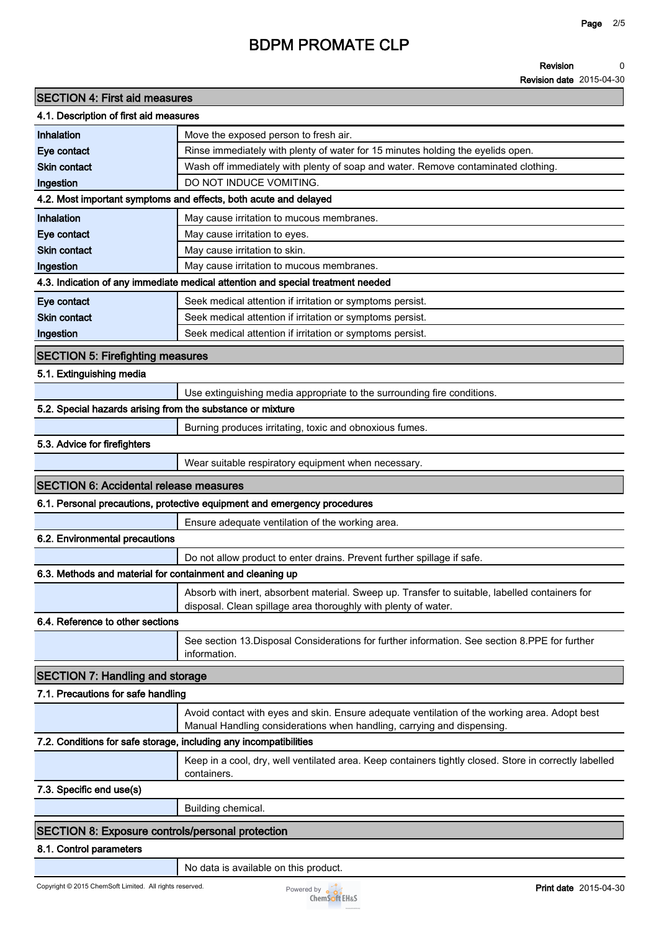#### **Revision 0**

**Revision date 2015-04-30**

|                                                                   | <b>BDPM PROMATE CLP</b>                                                                                                                                                 |
|-------------------------------------------------------------------|-------------------------------------------------------------------------------------------------------------------------------------------------------------------------|
|                                                                   | <b>Revision</b><br>Revision date 2015-                                                                                                                                  |
| <b>SECTION 4: First aid measures</b>                              |                                                                                                                                                                         |
| 4.1. Description of first aid measures                            |                                                                                                                                                                         |
| Inhalation                                                        | Move the exposed person to fresh air.                                                                                                                                   |
| Eye contact                                                       | Rinse immediately with plenty of water for 15 minutes holding the eyelids open.                                                                                         |
| <b>Skin contact</b>                                               | Wash off immediately with plenty of soap and water. Remove contaminated clothing.                                                                                       |
| Ingestion                                                         | DO NOT INDUCE VOMITING.                                                                                                                                                 |
|                                                                   | 4.2. Most important symptoms and effects, both acute and delayed                                                                                                        |
| Inhalation                                                        | May cause irritation to mucous membranes.                                                                                                                               |
| Eye contact                                                       | May cause irritation to eyes.                                                                                                                                           |
| <b>Skin contact</b>                                               | May cause irritation to skin.                                                                                                                                           |
| Ingestion                                                         | May cause irritation to mucous membranes.                                                                                                                               |
|                                                                   | 4.3. Indication of any immediate medical attention and special treatment needed                                                                                         |
| Eye contact                                                       | Seek medical attention if irritation or symptoms persist.                                                                                                               |
| <b>Skin contact</b>                                               | Seek medical attention if irritation or symptoms persist.                                                                                                               |
| Ingestion                                                         | Seek medical attention if irritation or symptoms persist.                                                                                                               |
| <b>SECTION 5: Firefighting measures</b>                           |                                                                                                                                                                         |
| 5.1. Extinguishing media                                          |                                                                                                                                                                         |
|                                                                   | Use extinguishing media appropriate to the surrounding fire conditions.                                                                                                 |
| 5.2. Special hazards arising from the substance or mixture        |                                                                                                                                                                         |
|                                                                   | Burning produces irritating, toxic and obnoxious fumes.                                                                                                                 |
| 5.3. Advice for firefighters                                      |                                                                                                                                                                         |
|                                                                   | Wear suitable respiratory equipment when necessary.                                                                                                                     |
| <b>SECTION 6: Accidental release measures</b>                     |                                                                                                                                                                         |
|                                                                   | 6.1. Personal precautions, protective equipment and emergency procedures                                                                                                |
|                                                                   | Ensure adequate ventilation of the working area.                                                                                                                        |
| 6.2. Environmental precautions                                    |                                                                                                                                                                         |
|                                                                   | Do not allow product to enter drains. Prevent further spillage if safe.                                                                                                 |
| 6.3. Methods and material for containment and cleaning up         |                                                                                                                                                                         |
|                                                                   |                                                                                                                                                                         |
|                                                                   | Absorb with inert, absorbent material. Sweep up. Transfer to suitable, labelled containers for<br>disposal. Clean spillage area thoroughly with plenty of water.        |
| 6.4. Reference to other sections                                  |                                                                                                                                                                         |
|                                                                   | See section 13. Disposal Considerations for further information. See section 8. PPE for further<br>information.                                                         |
| <b>SECTION 7: Handling and storage</b>                            |                                                                                                                                                                         |
| 7.1. Precautions for safe handling                                |                                                                                                                                                                         |
|                                                                   | Avoid contact with eyes and skin. Ensure adequate ventilation of the working area. Adopt best<br>Manual Handling considerations when handling, carrying and dispensing. |
| 7.2. Conditions for safe storage, including any incompatibilities |                                                                                                                                                                         |
|                                                                   | Keep in a cool, dry, well ventilated area. Keep containers tightly closed. Store in correctly label                                                                     |

|                          | Keep in a cool, dry, well ventilated area. Keep containers tightly closed. Store in correctly labelled<br>containers. |
|--------------------------|-----------------------------------------------------------------------------------------------------------------------|
| 7.3. Specific end use(s) |                                                                                                                       |

**7.3. Specific end use(s)**

**Building chemical.**

### **SECTION 8: Exposure controls/personal protection**

#### **8.1. Control parameters**

**No data is available on this product.**

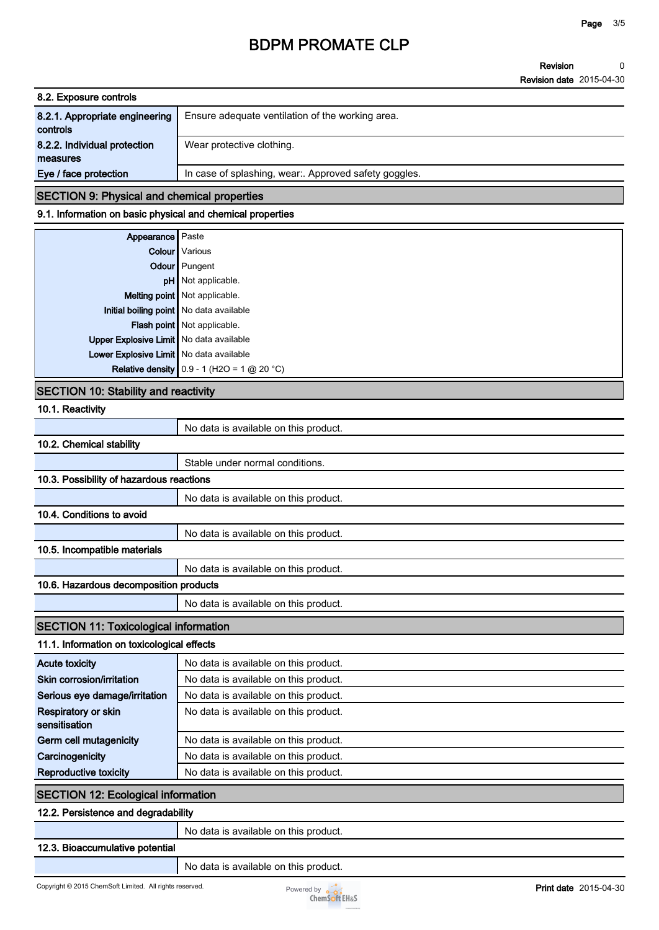**Revision Revision date 2015-04-30 0**

| 8.2. Exposure controls         |                                                     |
|--------------------------------|-----------------------------------------------------|
| 8.2.1. Appropriate engineering | Ensure adequate ventilation of the working area.    |
| controls                       |                                                     |
| 8.2.2. Individual protection   | Wear protective clothing.                           |
| measures                       |                                                     |
| Eye / face protection          | In case of splashing, wear Approved safety goggles. |

### **SECTION 9: Physical and chemical properties**

#### **9.1. Information on basic physical and chemical properties**

| Appearance Paste                          |                                              |
|-------------------------------------------|----------------------------------------------|
|                                           | <b>Colour</b> Various                        |
|                                           | Odour Pungent                                |
|                                           | pH Not applicable.                           |
|                                           | Melting point Not applicable.                |
|                                           | Initial boiling point   No data available    |
|                                           | Flash point Not applicable.                  |
| Upper Explosive Limit   No data available |                                              |
| Lower Explosive Limit   No data available |                                              |
|                                           | Relative density $0.9 - 1$ (H2O = 1 @ 20 °C) |

### **SECTION 10: Stability and reactivity**

**10.1. Reactivity**

| 10.1. Reactivity                             |                                       |  |
|----------------------------------------------|---------------------------------------|--|
|                                              | No data is available on this product. |  |
| 10.2. Chemical stability                     |                                       |  |
|                                              | Stable under normal conditions.       |  |
| 10.3. Possibility of hazardous reactions     |                                       |  |
|                                              | No data is available on this product. |  |
| 10.4. Conditions to avoid                    |                                       |  |
|                                              | No data is available on this product. |  |
| 10.5. Incompatible materials                 |                                       |  |
|                                              | No data is available on this product. |  |
| 10.6. Hazardous decomposition products       |                                       |  |
|                                              | No data is available on this product. |  |
| <b>SECTION 11: Toxicological information</b> |                                       |  |
| 11.1. Information on toxicological effects   |                                       |  |
| <b>Acute toxicity</b>                        | No data is available on this product. |  |
| Skin corrosion/irritation                    | No data is available on this product. |  |
| Serious eye damage/irritation                | No data is available on this product. |  |
| <b>Respiratory or skin</b><br>sensitisation  | No data is available on this product. |  |
| Germ cell mutagenicity                       | No data is available on this product. |  |
| Carcinogenicity                              | No data is available on this product. |  |
| Reproductive toxicity                        | No data is available on this product. |  |
| <b>SECTION 12: Ecological information</b>    |                                       |  |
| 12.2. Persistence and degradability          |                                       |  |
|                                              | No data is available on this product. |  |
| 12.3. Bioaccumulative potential              |                                       |  |
|                                              | No data is available on this product. |  |

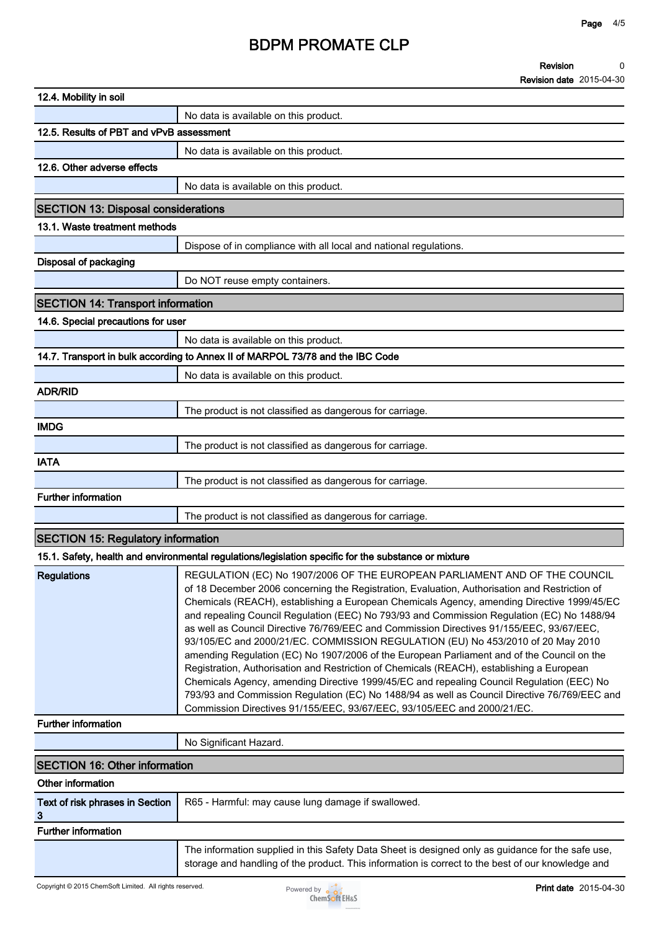#### **Revision Revision date 2015-04-30 0**

| 12.4. Mobility in soil                     |                                                                                                                                                                                                                                                                                                                                                                                                                                                                                                                                                                                                                                                                                                                                                                                                                                                                                                                                                                                                                           |
|--------------------------------------------|---------------------------------------------------------------------------------------------------------------------------------------------------------------------------------------------------------------------------------------------------------------------------------------------------------------------------------------------------------------------------------------------------------------------------------------------------------------------------------------------------------------------------------------------------------------------------------------------------------------------------------------------------------------------------------------------------------------------------------------------------------------------------------------------------------------------------------------------------------------------------------------------------------------------------------------------------------------------------------------------------------------------------|
|                                            | No data is available on this product.                                                                                                                                                                                                                                                                                                                                                                                                                                                                                                                                                                                                                                                                                                                                                                                                                                                                                                                                                                                     |
| 12.5. Results of PBT and vPvB assessment   |                                                                                                                                                                                                                                                                                                                                                                                                                                                                                                                                                                                                                                                                                                                                                                                                                                                                                                                                                                                                                           |
|                                            | No data is available on this product.                                                                                                                                                                                                                                                                                                                                                                                                                                                                                                                                                                                                                                                                                                                                                                                                                                                                                                                                                                                     |
| 12.6. Other adverse effects                |                                                                                                                                                                                                                                                                                                                                                                                                                                                                                                                                                                                                                                                                                                                                                                                                                                                                                                                                                                                                                           |
|                                            | No data is available on this product.                                                                                                                                                                                                                                                                                                                                                                                                                                                                                                                                                                                                                                                                                                                                                                                                                                                                                                                                                                                     |
| <b>SECTION 13: Disposal considerations</b> |                                                                                                                                                                                                                                                                                                                                                                                                                                                                                                                                                                                                                                                                                                                                                                                                                                                                                                                                                                                                                           |
| 13.1. Waste treatment methods              |                                                                                                                                                                                                                                                                                                                                                                                                                                                                                                                                                                                                                                                                                                                                                                                                                                                                                                                                                                                                                           |
|                                            | Dispose of in compliance with all local and national regulations.                                                                                                                                                                                                                                                                                                                                                                                                                                                                                                                                                                                                                                                                                                                                                                                                                                                                                                                                                         |
| <b>Disposal of packaging</b>               |                                                                                                                                                                                                                                                                                                                                                                                                                                                                                                                                                                                                                                                                                                                                                                                                                                                                                                                                                                                                                           |
|                                            | Do NOT reuse empty containers.                                                                                                                                                                                                                                                                                                                                                                                                                                                                                                                                                                                                                                                                                                                                                                                                                                                                                                                                                                                            |
| <b>SECTION 14: Transport information</b>   |                                                                                                                                                                                                                                                                                                                                                                                                                                                                                                                                                                                                                                                                                                                                                                                                                                                                                                                                                                                                                           |
| 14.6. Special precautions for user         |                                                                                                                                                                                                                                                                                                                                                                                                                                                                                                                                                                                                                                                                                                                                                                                                                                                                                                                                                                                                                           |
|                                            | No data is available on this product.                                                                                                                                                                                                                                                                                                                                                                                                                                                                                                                                                                                                                                                                                                                                                                                                                                                                                                                                                                                     |
|                                            | 14.7. Transport in bulk according to Annex II of MARPOL 73/78 and the IBC Code                                                                                                                                                                                                                                                                                                                                                                                                                                                                                                                                                                                                                                                                                                                                                                                                                                                                                                                                            |
|                                            | No data is available on this product.                                                                                                                                                                                                                                                                                                                                                                                                                                                                                                                                                                                                                                                                                                                                                                                                                                                                                                                                                                                     |
| <b>ADR/RID</b>                             |                                                                                                                                                                                                                                                                                                                                                                                                                                                                                                                                                                                                                                                                                                                                                                                                                                                                                                                                                                                                                           |
|                                            | The product is not classified as dangerous for carriage.                                                                                                                                                                                                                                                                                                                                                                                                                                                                                                                                                                                                                                                                                                                                                                                                                                                                                                                                                                  |
| <b>IMDG</b>                                |                                                                                                                                                                                                                                                                                                                                                                                                                                                                                                                                                                                                                                                                                                                                                                                                                                                                                                                                                                                                                           |
|                                            | The product is not classified as dangerous for carriage.                                                                                                                                                                                                                                                                                                                                                                                                                                                                                                                                                                                                                                                                                                                                                                                                                                                                                                                                                                  |
| <b>IATA</b>                                |                                                                                                                                                                                                                                                                                                                                                                                                                                                                                                                                                                                                                                                                                                                                                                                                                                                                                                                                                                                                                           |
|                                            | The product is not classified as dangerous for carriage.                                                                                                                                                                                                                                                                                                                                                                                                                                                                                                                                                                                                                                                                                                                                                                                                                                                                                                                                                                  |
| <b>Further information</b>                 |                                                                                                                                                                                                                                                                                                                                                                                                                                                                                                                                                                                                                                                                                                                                                                                                                                                                                                                                                                                                                           |
|                                            | The product is not classified as dangerous for carriage.                                                                                                                                                                                                                                                                                                                                                                                                                                                                                                                                                                                                                                                                                                                                                                                                                                                                                                                                                                  |
| <b>SECTION 15: Regulatory information</b>  |                                                                                                                                                                                                                                                                                                                                                                                                                                                                                                                                                                                                                                                                                                                                                                                                                                                                                                                                                                                                                           |
|                                            | 15.1. Safety, health and environmental regulations/legislation specific for the substance or mixture                                                                                                                                                                                                                                                                                                                                                                                                                                                                                                                                                                                                                                                                                                                                                                                                                                                                                                                      |
| <b>Regulations</b>                         | REGULATION (EC) No 1907/2006 OF THE EUROPEAN PARLIAMENT AND OF THE COUNCIL<br>of 18 December 2006 concerning the Registration, Evaluation, Authorisation and Restriction of<br>Chemicals (REACH), establishing a European Chemicals Agency, amending Directive 1999/45/EC<br>and repealing Council Regulation (EEC) No 793/93 and Commission Regulation (EC) No 1488/94<br>as well as Council Directive 76/769/EEC and Commission Directives 91/155/EEC, 93/67/EEC,<br>93/105/EC and 2000/21/EC. COMMISSION REGULATION (EU) No 453/2010 of 20 May 2010<br>amending Regulation (EC) No 1907/2006 of the European Parliament and of the Council on the<br>Registration, Authorisation and Restriction of Chemicals (REACH), establishing a European<br>Chemicals Agency, amending Directive 1999/45/EC and repealing Council Regulation (EEC) No<br>793/93 and Commission Regulation (EC) No 1488/94 as well as Council Directive 76/769/EEC and<br>Commission Directives 91/155/EEC, 93/67/EEC, 93/105/EEC and 2000/21/EC. |
| <b>Further information</b>                 |                                                                                                                                                                                                                                                                                                                                                                                                                                                                                                                                                                                                                                                                                                                                                                                                                                                                                                                                                                                                                           |
|                                            | No Significant Hazard.                                                                                                                                                                                                                                                                                                                                                                                                                                                                                                                                                                                                                                                                                                                                                                                                                                                                                                                                                                                                    |
| <b>SECTION 16: Other information</b>       |                                                                                                                                                                                                                                                                                                                                                                                                                                                                                                                                                                                                                                                                                                                                                                                                                                                                                                                                                                                                                           |
| Other information                          |                                                                                                                                                                                                                                                                                                                                                                                                                                                                                                                                                                                                                                                                                                                                                                                                                                                                                                                                                                                                                           |
| Text of risk phrases in Section<br>3       | R65 - Harmful: may cause lung damage if swallowed.                                                                                                                                                                                                                                                                                                                                                                                                                                                                                                                                                                                                                                                                                                                                                                                                                                                                                                                                                                        |
| Further information                        |                                                                                                                                                                                                                                                                                                                                                                                                                                                                                                                                                                                                                                                                                                                                                                                                                                                                                                                                                                                                                           |